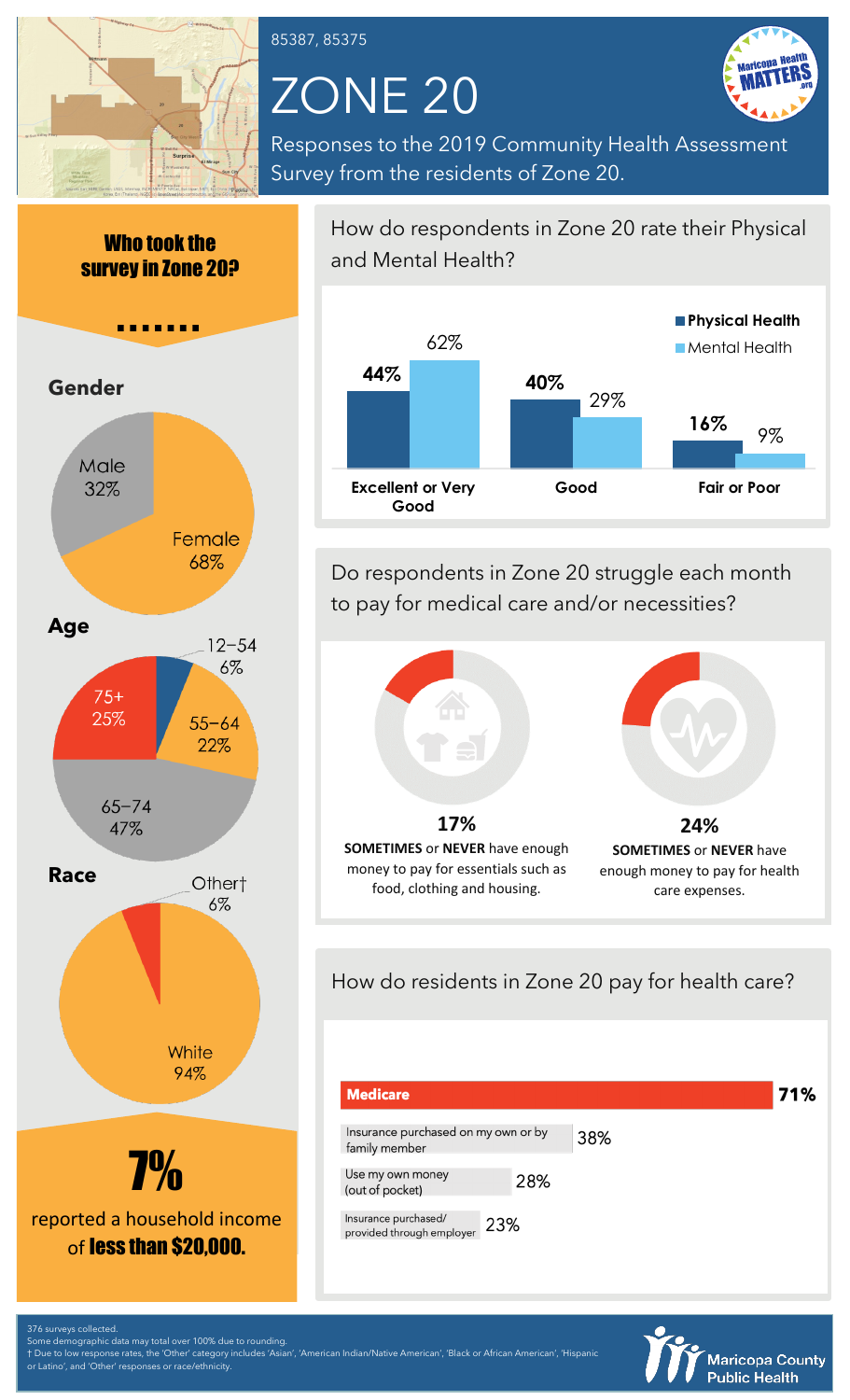

85387, 85375

# ZONE 20



Responses to the 2019 Community Health Assessment Survey from the residents of Zone 20.

Who took the survey in Zone 20?



How do respondents in Zone 20 rate their Physical and Mental Health?



Do respondents in Zone 20 struggle each month to pay for medical care and/or necessities?



How do residents in Zone 20 pay for health care?

| <b>Medicare</b>                                          |     | 71% |
|----------------------------------------------------------|-----|-----|
| Insurance purchased on my own or by<br>family member     | 38% |     |
| Use my own money<br>28%<br>(out of pocket)               |     |     |
| Insurance purchased/<br>23%<br>provided through employer |     |     |



376 surveys collected.

Latino', and 'Other' responses or race/ethnicity

Some demographic data may total over 100% due to rounding. † Due to low response rates, the 'Other' category includes 'Asian', 'American Indian/Native American', 'Black or African American', 'Hispanic